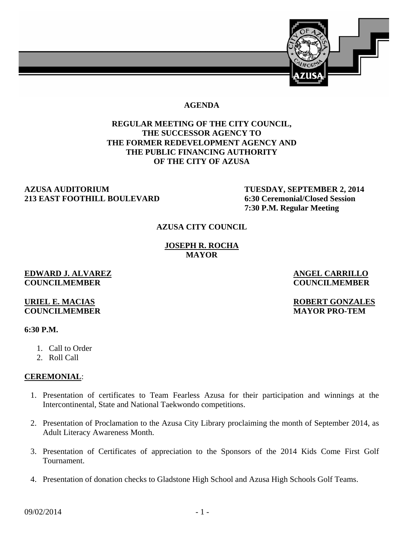

### **AGENDA**

# **REGULAR MEETING OF THE CITY COUNCIL, THE SUCCESSOR AGENCY TO THE FORMER REDEVELOPMENT AGENCY AND THE PUBLIC FINANCING AUTHORITY OF THE CITY OF AZUSA**

### **AZUSA AUDITORIUM TUESDAY, SEPTEMBER 2, 2014 213 EAST FOOTHILL BOULEVARD 6:30 Ceremonial/Closed Session**

 **7:30 P.M. Regular Meeting** 

### **AZUSA CITY COUNCIL**

**JOSEPH R. ROCHA MAYOR** 

#### **EDWARD J. ALVAREZ ANGEL CARRILLO COUNCILMEMBER COUNCILMEMBER**

### **URIEL E. MACIAS ROBERT GONZALES COUNCILMEMBER MAYOR PRO-TEM**

#### **6:30 P.M.**

- 1. Call to Order
- 2. Roll Call

# **CEREMONIAL**:

- 1. Presentation of certificates to Team Fearless Azusa for their participation and winnings at the Intercontinental, State and National Taekwondo competitions.
- 2. Presentation of Proclamation to the Azusa City Library proclaiming the month of September 2014, as Adult Literacy Awareness Month.
- 3. Presentation of Certificates of appreciation to the Sponsors of the 2014 Kids Come First Golf Tournament.
- 4. Presentation of donation checks to Gladstone High School and Azusa High Schools Golf Teams.

 $09/02/2014$  - 1 -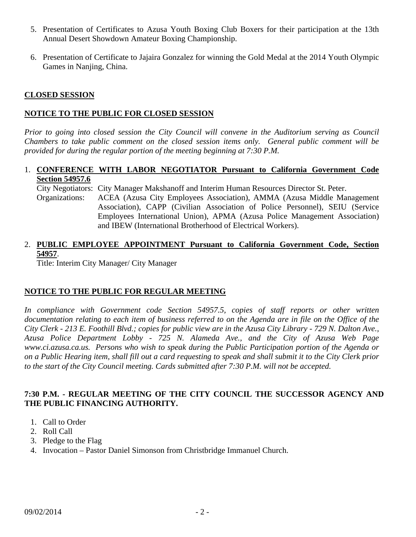- 5. Presentation of Certificates to Azusa Youth Boxing Club Boxers for their participation at the 13th Annual Desert Showdown Amateur Boxing Championship.
- 6. Presentation of Certificate to Jajaira Gonzalez for winning the Gold Medal at the 2014 Youth Olympic Games in Nanjing, China.

### **CLOSED SESSION**

### **NOTICE TO THE PUBLIC FOR CLOSED SESSION**

*Prior to going into closed session the City Council will convene in the Auditorium serving as Council Chambers to take public comment on the closed session items only. General public comment will be provided for during the regular portion of the meeting beginning at 7:30 P.M.* 

### 1. **CONFERENCE WITH LABOR NEGOTIATOR Pursuant to California Government Code Section 54957.6**

 City Negotiators: City Manager Makshanoff and Interim Human Resources Director St. Peter. Organizations: ACEA (Azusa City Employees Association), AMMA (Azusa Middle Management Association), CAPP (Civilian Association of Police Personnel), SEIU (Service Employees International Union), APMA (Azusa Police Management Association) and IBEW (International Brotherhood of Electrical Workers).

# 2. **PUBLIC EMPLOYEE APPOINTMENT Pursuant to California Government Code, Section 54957**.

Title: Interim City Manager/ City Manager

# **NOTICE TO THE PUBLIC FOR REGULAR MEETING**

*In compliance with Government code Section 54957.5, copies of staff reports or other written documentation relating to each item of business referred to on the Agenda are in file on the Office of the City Clerk - 213 E. Foothill Blvd.; copies for public view are in the Azusa City Library - 729 N. Dalton Ave., Azusa Police Department Lobby - 725 N. Alameda Ave., and the City of Azusa Web Page www.ci.azusa.ca.us. Persons who wish to speak during the Public Participation portion of the Agenda or on a Public Hearing item, shall fill out a card requesting to speak and shall submit it to the City Clerk prior to the start of the City Council meeting. Cards submitted after 7:30 P.M. will not be accepted.* 

### **7:30 P.M. - REGULAR MEETING OF THE CITY COUNCIL THE SUCCESSOR AGENCY AND THE PUBLIC FINANCING AUTHORITY.**

- 1. Call to Order
- 2. Roll Call
- 3. Pledge to the Flag
- 4. Invocation Pastor Daniel Simonson from Christbridge Immanuel Church.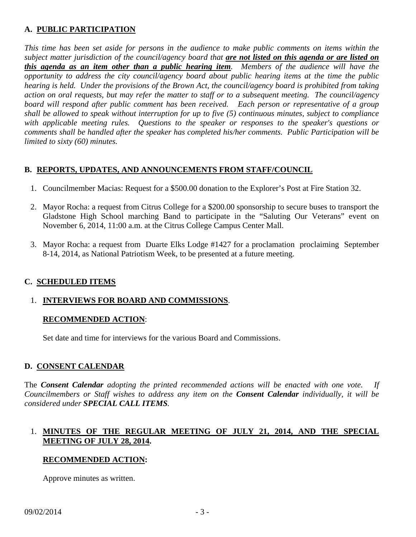# **A. PUBLIC PARTICIPATION**

*This time has been set aside for persons in the audience to make public comments on items within the subject matter jurisdiction of the council/agency board that are not listed on this agenda or are listed on this agenda as an item other than a public hearing item. Members of the audience will have the opportunity to address the city council/agency board about public hearing items at the time the public hearing is held. Under the provisions of the Brown Act, the council/agency board is prohibited from taking action on oral requests, but may refer the matter to staff or to a subsequent meeting. The council/agency board will respond after public comment has been received. Each person or representative of a group shall be allowed to speak without interruption for up to five (5) continuous minutes, subject to compliance with applicable meeting rules. Questions to the speaker or responses to the speaker's questions or comments shall be handled after the speaker has completed his/her comments. Public Participation will be limited to sixty (60) minutes.*

# **B. REPORTS, UPDATES, AND ANNOUNCEMENTS FROM STAFF/COUNCIL**

- 1. Councilmember Macias: Request for a \$500.00 donation to the Explorer's Post at Fire Station 32.
- 2. Mayor Rocha: a request from Citrus College for a \$200.00 sponsorship to secure buses to transport the Gladstone High School marching Band to participate in the "Saluting Our Veterans" event on November 6, 2014, 11:00 a.m. at the Citrus College Campus Center Mall.
- 3. Mayor Rocha: a request from Duarte Elks Lodge #1427 for a proclamation proclaiming September 8-14, 2014, as National Patriotism Week, to be presented at a future meeting.

# **C. SCHEDULED ITEMS**

# 1. **INTERVIEWS FOR BOARD AND COMMISSIONS**.

# **RECOMMENDED ACTION**:

Set date and time for interviews for the various Board and Commissions.

# **D. CONSENT CALENDAR**

The *Consent Calendar adopting the printed recommended actions will be enacted with one vote. If Councilmembers or Staff wishes to address any item on the Consent Calendar individually, it will be considered under SPECIAL CALL ITEMS.* 

# 1. **MINUTES OF THE REGULAR MEETING OF JULY 21, 2014, AND THE SPECIAL MEETING OF JULY 28, 2014.**

# **RECOMMENDED ACTION:**

Approve minutes as written.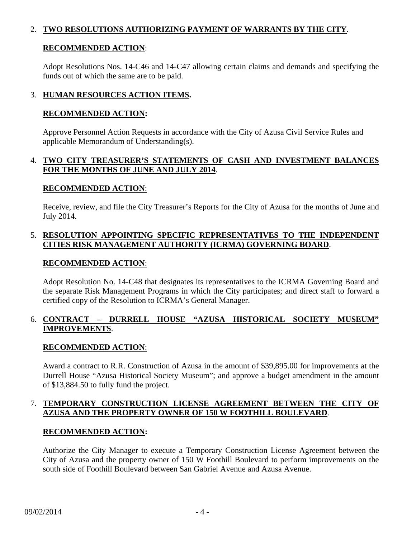# 2. **TWO RESOLUTIONS AUTHORIZING PAYMENT OF WARRANTS BY THE CITY**.

### **RECOMMENDED ACTION**:

 Adopt Resolutions Nos. 14-C46 and 14-C47 allowing certain claims and demands and specifying the funds out of which the same are to be paid.

# 3. **HUMAN RESOURCES ACTION ITEMS.**

### **RECOMMENDED ACTION:**

 Approve Personnel Action Requests in accordance with the City of Azusa Civil Service Rules and applicable Memorandum of Understanding(s).

# 4. **TWO CITY TREASURER'S STATEMENTS OF CASH AND INVESTMENT BALANCES FOR THE MONTHS OF JUNE AND JULY 2014**.

### **RECOMMENDED ACTION**:

 Receive, review, and file the City Treasurer's Reports for the City of Azusa for the months of June and July 2014.

# 5. **RESOLUTION APPOINTING SPECIFIC REPRESENTATIVES TO THE INDEPENDENT CITIES RISK MANAGEMENT AUTHORITY (ICRMA) GOVERNING BOARD**.

### **RECOMMENDED ACTION**:

 Adopt Resolution No. 14-C48 that designates its representatives to the ICRMA Governing Board and the separate Risk Management Programs in which the City participates; and direct staff to forward a certified copy of the Resolution to ICRMA's General Manager.

# 6. **CONTRACT – DURRELL HOUSE "AZUSA HISTORICAL SOCIETY MUSEUM" IMPROVEMENTS**.

# **RECOMMENDED ACTION**:

 Award a contract to R.R. Construction of Azusa in the amount of \$39,895.00 for improvements at the Durrell House "Azusa Historical Society Museum"; and approve a budget amendment in the amount of \$13,884.50 to fully fund the project.

# 7. **TEMPORARY CONSTRUCTION LICENSE AGREEMENT BETWEEN THE CITY OF AZUSA AND THE PROPERTY OWNER OF 150 W FOOTHILL BOULEVARD**.

# **RECOMMENDED ACTION:**

 Authorize the City Manager to execute a Temporary Construction License Agreement between the City of Azusa and the property owner of 150 W Foothill Boulevard to perform improvements on the south side of Foothill Boulevard between San Gabriel Avenue and Azusa Avenue.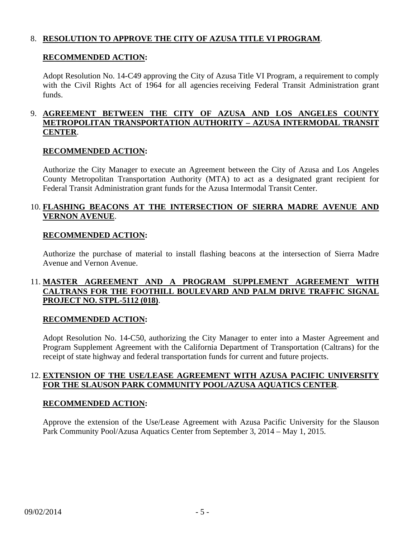# 8. **RESOLUTION TO APPROVE THE CITY OF AZUSA TITLE VI PROGRAM**.

#### **RECOMMENDED ACTION:**

 Adopt Resolution No. 14-C49 approving the City of Azusa Title VI Program, a requirement to comply with the Civil Rights Act of 1964 for all agencies receiving Federal Transit Administration grant funds.

### 9. **AGREEMENT BETWEEN THE CITY OF AZUSA AND LOS ANGELES COUNTY METROPOLITAN TRANSPORTATION AUTHORITY – AZUSA INTERMODAL TRANSIT CENTER**.

#### **RECOMMENDED ACTION:**

 Authorize the City Manager to execute an Agreement between the City of Azusa and Los Angeles County Metropolitan Transportation Authority (MTA) to act as a designated grant recipient for Federal Transit Administration grant funds for the Azusa Intermodal Transit Center.

### 10. **FLASHING BEACONS AT THE INTERSECTION OF SIERRA MADRE AVENUE AND VERNON AVENUE**.

#### **RECOMMENDED ACTION:**

 Authorize the purchase of material to install flashing beacons at the intersection of Sierra Madre Avenue and Vernon Avenue.

# 11. **MASTER AGREEMENT AND A PROGRAM SUPPLEMENT AGREEMENT WITH CALTRANS FOR THE FOOTHILL BOULEVARD AND PALM DRIVE TRAFFIC SIGNAL PROJECT NO. STPL-5112 (018)**.

#### **RECOMMENDED ACTION:**

 Adopt Resolution No. 14-C50, authorizing the City Manager to enter into a Master Agreement and Program Supplement Agreement with the California Department of Transportation (Caltrans) for the receipt of state highway and federal transportation funds for current and future projects.

### 12. **EXTENSION OF THE USE/LEASE AGREEMENT WITH AZUSA PACIFIC UNIVERSITY FOR THE SLAUSON PARK COMMUNITY POOL/AZUSA AQUATICS CENTER**.

#### **RECOMMENDED ACTION:**

 Approve the extension of the Use/Lease Agreement with Azusa Pacific University for the Slauson Park Community Pool/Azusa Aquatics Center from September 3, 2014 – May 1, 2015.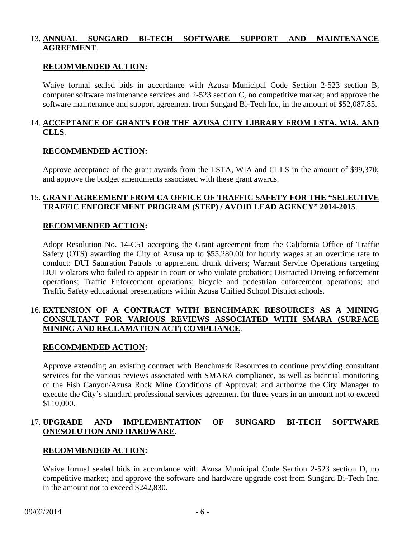# 13. **ANNUAL SUNGARD BI-TECH SOFTWARE SUPPORT AND MAINTENANCE AGREEMENT**.

#### **RECOMMENDED ACTION:**

 Waive formal sealed bids in accordance with Azusa Municipal Code Section 2-523 section B, computer software maintenance services and 2-523 section C, no competitive market; and approve the software maintenance and support agreement from Sungard Bi-Tech Inc, in the amount of \$52,087.85.

# 14. **ACCEPTANCE OF GRANTS FOR THE AZUSA CITY LIBRARY FROM LSTA, WIA, AND CLLS**.

#### **RECOMMENDED ACTION:**

 Approve acceptance of the grant awards from the LSTA, WIA and CLLS in the amount of \$99,370; and approve the budget amendments associated with these grant awards.

### 15. **GRANT AGREEMENT FROM CA OFFICE OF TRAFFIC SAFETY FOR THE "SELECTIVE TRAFFIC ENFORCEMENT PROGRAM (STEP) / AVOID LEAD AGENCY" 2014-2015**.

#### **RECOMMENDED ACTION:**

 Adopt Resolution No. 14-C51 accepting the Grant agreement from the California Office of Traffic Safety (OTS) awarding the City of Azusa up to \$55,280.00 for hourly wages at an overtime rate to conduct: DUI Saturation Patrols to apprehend drunk drivers; Warrant Service Operations targeting DUI violators who failed to appear in court or who violate probation; Distracted Driving enforcement operations; Traffic Enforcement operations; bicycle and pedestrian enforcement operations; and Traffic Safety educational presentations within Azusa Unified School District schools.

#### 16. **EXTENSION OF A CONTRACT WITH BENCHMARK RESOURCES AS A MINING CONSULTANT FOR VARIOUS REVIEWS ASSOCIATED WITH SMARA (SURFACE MINING AND RECLAMATION ACT) COMPLIANCE**.

#### **RECOMMENDED ACTION:**

 Approve extending an existing contract with Benchmark Resources to continue providing consultant services for the various reviews associated with SMARA compliance, as well as biennial monitoring of the Fish Canyon/Azusa Rock Mine Conditions of Approval; and authorize the City Manager to execute the City's standard professional services agreement for three years in an amount not to exceed \$110,000.

# 17. **UPGRADE AND IMPLEMENTATION OF SUNGARD BI-TECH SOFTWARE ONESOLUTION AND HARDWARE**.

#### **RECOMMENDED ACTION:**

 Waive formal sealed bids in accordance with Azusa Municipal Code Section 2-523 section D, no competitive market; and approve the software and hardware upgrade cost from Sungard Bi-Tech Inc, in the amount not to exceed \$242,830.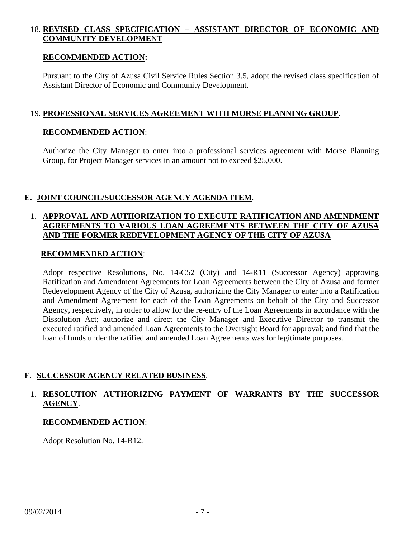# 18. **REVISED CLASS SPECIFICATION – ASSISTANT DIRECTOR OF ECONOMIC AND COMMUNITY DEVELOPMENT**

#### **RECOMMENDED ACTION:**

 Pursuant to the City of Azusa Civil Service Rules Section 3.5, adopt the revised class specification of Assistant Director of Economic and Community Development.

### 19. **PROFESSIONAL SERVICES AGREEMENT WITH MORSE PLANNING GROUP**.

### **RECOMMENDED ACTION**:

 Authorize the City Manager to enter into a professional services agreement with Morse Planning Group, for Project Manager services in an amount not to exceed \$25,000.

### **E. JOINT COUNCIL/SUCCESSOR AGENCY AGENDA ITEM**.

### 1. **APPROVAL AND AUTHORIZATION TO EXECUTE RATIFICATION AND AMENDMENT AGREEMENTS TO VARIOUS LOAN AGREEMENTS BETWEEN THE CITY OF AZUSA AND THE FORMER REDEVELOPMENT AGENCY OF THE CITY OF AZUSA**

#### **RECOMMENDED ACTION**:

 Adopt respective Resolutions, No. 14-C52 (City) and 14-R11 (Successor Agency) approving Ratification and Amendment Agreements for Loan Agreements between the City of Azusa and former Redevelopment Agency of the City of Azusa, authorizing the City Manager to enter into a Ratification and Amendment Agreement for each of the Loan Agreements on behalf of the City and Successor Agency, respectively, in order to allow for the re-entry of the Loan Agreements in accordance with the Dissolution Act; authorize and direct the City Manager and Executive Director to transmit the executed ratified and amended Loan Agreements to the Oversight Board for approval; and find that the loan of funds under the ratified and amended Loan Agreements was for legitimate purposes.

# **F**. **SUCCESSOR AGENCY RELATED BUSINESS**.

# 1. **RESOLUTION AUTHORIZING PAYMENT OF WARRANTS BY THE SUCCESSOR AGENCY**.

#### **RECOMMENDED ACTION**:

Adopt Resolution No. 14-R12.